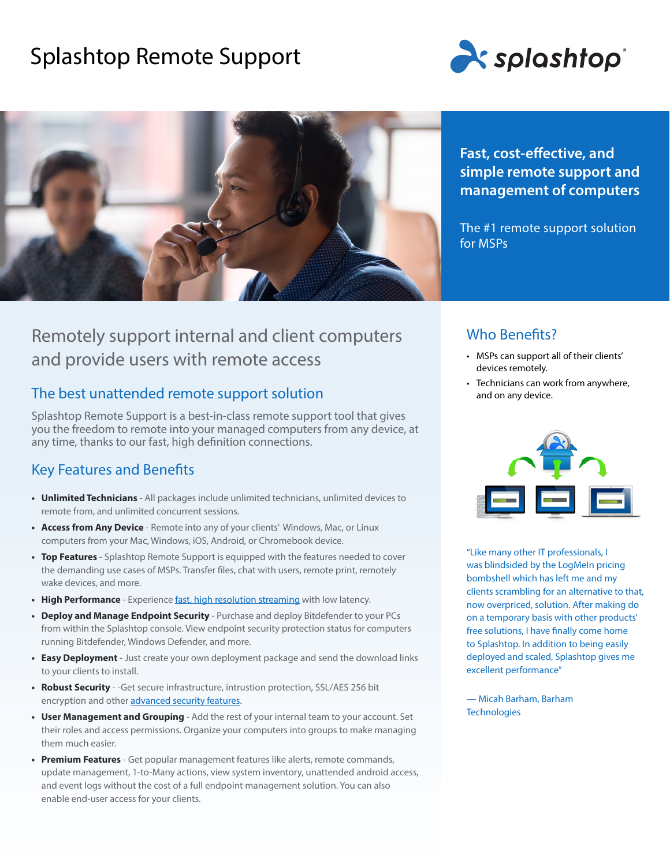# Splashtop Remote Support





# Remotely support internal and client computers and provide users with remote access

### The best unattended remote support solution

Splashtop Remote Support is a best-in-class remote support tool that gives you the freedom to remote into your managed computers from any device, at any time, thanks to our fast, high definition connections.

### Key Features and Benefits

- **• Unlimited Technicians** All packages include unlimited technicians, unlimited devices to remote from, and unlimited concurrent sessions.
- **• Access from Any Device** Remote into any of your clients' Windows, Mac, or Linux computers from your Mac, Windows, iOS, Android, or Chromebook device.
- **• Top Features** Splashtop Remote Support is equipped with the features needed to cover the demanding use cases of MSPs. Transfer files, chat with users, remote print, remotely wake devices, and more.
- **High Performance** Experience [fast, high resolution streaming](https://www.splashtop.com/features/high-performance) with low latency.
- **• Deploy and Manage Endpoint Security** Purchase and deploy Bitdefender to your PCs from within the Splashtop console. View endpoint security protection status for computers running Bitdefender, Windows Defender, and more.
- **• Easy Deployment** Just create your own deployment package and send the download links to your clients to install.
- **• Robust Security** -Get secure infrastructure, intrustion protection, SSL/AES 256 bit encryption and other [advanced security features](https://www.splashtop.com/security-features).
- **• User Management and Grouping** Add the rest of your internal team to your account. Set their roles and access permissions. Organize your computers into groups to make managing them much easier.
- **• Premium Features** Get popular management features like alerts, remote commands, update management, 1-to-Many actions, view system inventory, unattended android access, and event logs without the cost of a full endpoint management solution. You can also enable end-user access for your clients.

**Fast, cost-effective, and simple remote support and management of computers**

The #1 remote support solution for MSPs

### Who Benefits?

- MSPs can support all of their clients' devices remotely.
- Technicians can work from anywhere, and on any device.



"Like many other IT professionals, I was blindsided by the LogMeIn pricing bombshell which has left me and my clients scrambling for an alternative to that, now overpriced, solution. After making do on a temporary basis with other products' free solutions, I have finally come home to Splashtop. In addition to being easily deployed and scaled, Splashtop gives me excellent performance"

— Micah Barham, Barham **Technologies**